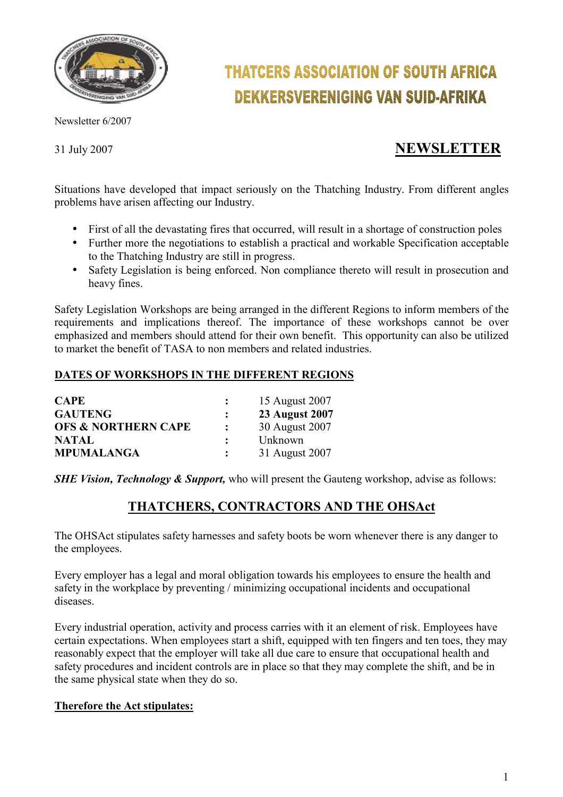

Newsletter 6/2007

# **THATCERS ASSOCIATION OF SOUTH AFRICA DEKKERSVERENIGING VAN SUID-AFRIKA**

## 31 July 2007 **NEWSLETTER**

Situations have developed that impact seriously on the Thatching Industry. From different angles problems have arisen affecting our Industry.

- First of all the devastating fires that occurred, will result in a shortage of construction poles
- Further more the negotiations to establish a practical and workable Specification acceptable to the Thatching Industry are still in progress.
- Safety Legislation is being enforced. Non compliance thereto will result in prosecution and heavy fines.

Safety Legislation Workshops are being arranged in the different Regions to inform members of the requirements and implications thereof. The importance of these workshops cannot be over emphasized and members should attend for their own benefit. This opportunity can also be utilized to market the benefit of TASA to non members and related industries.

#### **DATES OF WORKSHOPS IN THE DIFFERENT REGIONS**

| <b>CAPE</b>                    |                | 15 August 2007        |
|--------------------------------|----------------|-----------------------|
| <b>GAUTENG</b>                 |                | <b>23 August 2007</b> |
| <b>OFS &amp; NORTHERN CAPE</b> | $\ddot{\cdot}$ | 30 August 2007        |
| <b>NATAL</b>                   |                | Unknown               |
| <b>MPUMALANGA</b>              |                | 31 August 2007        |

*SHE Vision, Technology & Support,* who will present the Gauteng workshop, advise as follows:

### **THATCHERS, CONTRACTORS AND THE OHSAct**

The OHSAct stipulates safety harnesses and safety boots be worn whenever there is any danger to the employees.

Every employer has a legal and moral obligation towards his employees to ensure the health and safety in the workplace by preventing / minimizing occupational incidents and occupational diseases.

Every industrial operation, activity and process carries with it an element of risk. Employees have certain expectations. When employees start a shift, equipped with ten fingers and ten toes, they may reasonably expect that the employer will take all due care to ensure that occupational health and safety procedures and incident controls are in place so that they may complete the shift, and be in the same physical state when they do so.

#### **Therefore the Act stipulates:**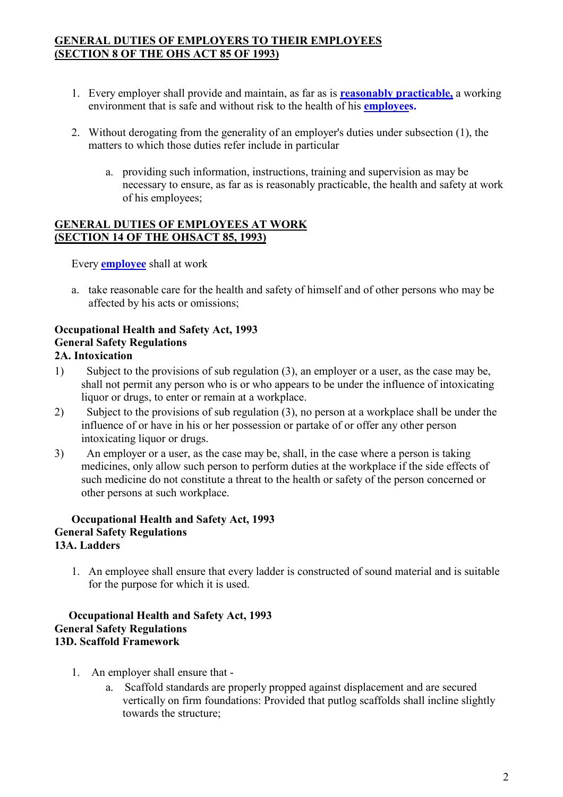#### **GENERAL DUTIES OF EMPLOYERS TO THEIR EMPLOYEES (SECTION 8 OF THE OHS ACT 85 OF 1993)**

- 1. Every employer shall provide and maintain, as far as is **reasonably practicable,** a working environment that is safe and without risk to the health of his **employees.**
- 2. Without derogating from the generality of an employer's duties under subsection (1), the matters to which those duties refer include in particular
	- a. providing such information, instructions, training and supervision as may be necessary to ensure, as far as is reasonably practicable, the health and safety at work of his employees;

#### **GENERAL DUTIES OF EMPLOYEES AT WORK (SECTION 14 OF THE OHSACT 85, 1993)**

Every **employee** shall at work

a. take reasonable care for the health and safety of himself and of other persons who may be affected by his acts or omissions;

#### **Occupational Health and Safety Act, 1993 General Safety Regulations 2A. Intoxication**

- 1) Subject to the provisions of sub regulation (3), an employer or a user, as the case may be, shall not permit any person who is or who appears to be under the influence of intoxicating liquor or drugs, to enter or remain at a workplace.
- 2) Subject to the provisions of sub regulation (3), no person at a workplace shall be under the influence of or have in his or her possession or partake of or offer any other person intoxicating liquor or drugs.
- 3) An employer or a user, as the case may be, shall, in the case where a person is taking medicines, only allow such person to perform duties at the workplace if the side effects of such medicine do not constitute a threat to the health or safety of the person concerned or other persons at such workplace.

#### **Occupational Health and Safety Act, 1993 General Safety Regulations 13A. Ladders**

1. An employee shall ensure that every ladder is constructed of sound material and is suitable for the purpose for which it is used.

#### **Occupational Health and Safety Act, 1993 General Safety Regulations 13D. Scaffold Framework**

- 1. An employer shall ensure that
	- a. Scaffold standards are properly propped against displacement and are secured vertically on firm foundations: Provided that putlog scaffolds shall incline slightly towards the structure;